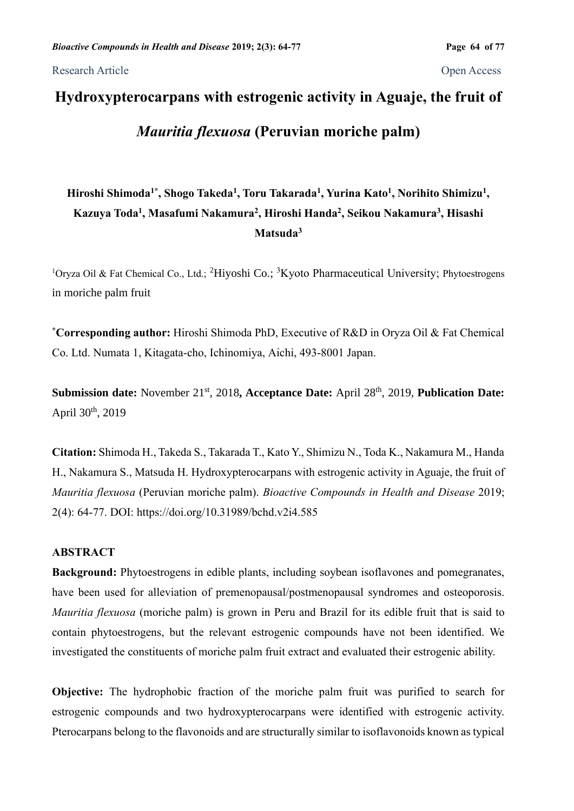Research Article Open Access

# **Hydroxypterocarpans with estrogenic activity in Aguaje, the fruit of**  *Mauritia flexuosa* **(Peruvian moriche palm)**

# **Hiroshi Shimoda1\* , Shogo Takeda<sup>1</sup> , Toru Takarada<sup>1</sup> , Yurina Kato<sup>1</sup> , Norihito Shimizu<sup>1</sup> , Kazuya Toda<sup>1</sup> , Masafumi Nakamura<sup>2</sup> , Hiroshi Handa<sup>2</sup> , Seikou Nakamura<sup>3</sup> , Hisashi Matsuda<sup>3</sup>**

<sup>1</sup>Oryza Oil & Fat Chemical Co., Ltd.; <sup>2</sup>Hiyoshi Co.; <sup>3</sup>Kyoto Pharmaceutical University; Phytoestrogens in moriche palm fruit

**\*Corresponding author:** Hiroshi Shimoda PhD, Executive of R&D in Oryza Oil & Fat Chemical Co. Ltd. Numata 1, Kitagata-cho, Ichinomiya, Aichi, 493-8001 Japan.

**Submission date:** November 21<sup>st</sup>, 2018, Acceptance Date: April 28<sup>th</sup>, 2019, Publication Date: April 30<sup>th</sup>, 2019

**Citation:** Shimoda H., Takeda S., Takarada T., Kato Y., Shimizu N., Toda K., Nakamura M., Handa H., Nakamura S., Matsuda H. Hydroxypterocarpans with estrogenic activity in Aguaje, the fruit of *Mauritia flexuosa* (Peruvian moriche palm). *Bioactive Compounds in Health and Disease* 2019; 2(4): 64-77. DOI: https://doi.org[/10.31989/bchd.v2i4.585](https://doi.org/10.31989/bchd.v2i4.585)

# **ABSTRACT**

**Background:** Phytoestrogens in edible plants, including soybean isoflavones and pomegranates, have been used for alleviation of premenopausal/postmenopausal syndromes and osteoporosis. *Mauritia flexuosa* (moriche palm) is grown in Peru and Brazil for its edible fruit that is said to contain phytoestrogens, but the relevant estrogenic compounds have not been identified. We investigated the constituents of moriche palm fruit extract and evaluated their estrogenic ability.

**Objective:** The hydrophobic fraction of the moriche palm fruit was purified to search for estrogenic compounds and two hydroxypterocarpans were identified with estrogenic activity. Pterocarpans belong to the flavonoids and are structurally similar to isoflavonoids known as typical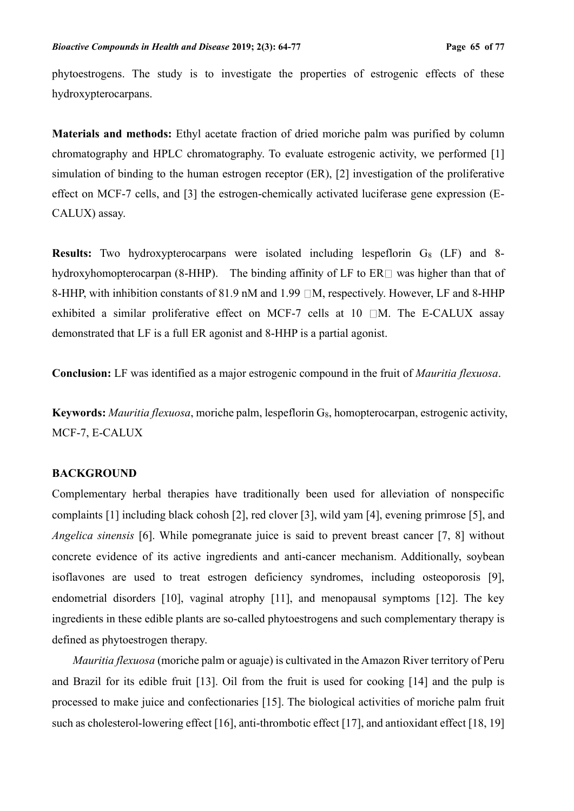phytoestrogens. The study is to investigate the properties of estrogenic effects of these hydroxypterocarpans.

**Materials and methods:** Ethyl acetate fraction of dried moriche palm was purified by column chromatography and HPLC chromatography. To evaluate estrogenic activity, we performed [1] simulation of binding to the human estrogen receptor (ER), [2] investigation of the proliferative effect on MCF-7 cells, and [3] the estrogen-chemically activated luciferase gene expression (E-CALUX) assay.

**Results:** Two hydroxypterocarpans were isolated including lespeflorin  $G_8$  (LF) and 8hydroxyhomopterocarpan (8-HHP). The binding affinity of LF to  $ER \Box$  was higher than that of 8-HHP, with inhibition constants of 81.9 nM and 1.99  $\Box M$ , respectively. However, LF and 8-HHP exhibited a similar proliferative effect on MCF-7 cells at  $10$   $\Box$ M. The E-CALUX assay demonstrated that LF is a full ER agonist and 8-HHP is a partial agonist.

**Conclusion:** LF was identified as a major estrogenic compound in the fruit of *Mauritia flexuosa*.

**Keywords:** *Mauritia flexuosa*, moriche palm, lespeflorin G<sub>8</sub>, homopterocarpan, estrogenic activity, MCF-7, E-CALUX

#### **BACKGROUND**

Complementary herbal therapies have traditionally been used for alleviation of nonspecific complaints [1] including black cohosh [2], red clover [3], wild yam [4], evening primrose [5], and *Angelica sinensis* [6]. While pomegranate juice is said to prevent breast cancer [7, 8] without concrete evidence of its active ingredients and anti-cancer mechanism. Additionally, soybean isoflavones are used to treat estrogen deficiency syndromes, including osteoporosis [9], endometrial disorders [10], vaginal atrophy [11], and menopausal symptoms [12]. The key ingredients in these edible plants are so-called phytoestrogens and such complementary therapy is defined as phytoestrogen therapy.

*Mauritia flexuosa* (moriche palm or aguaje) is cultivated in the Amazon River territory of Peru and Brazil for its edible fruit [13]. Oil from the fruit is used for cooking [14] and the pulp is processed to make juice and confectionaries [15]. The biological activities of moriche palm fruit such as cholesterol-lowering effect [16], anti-thrombotic effect [17], and antioxidant effect [18, 19]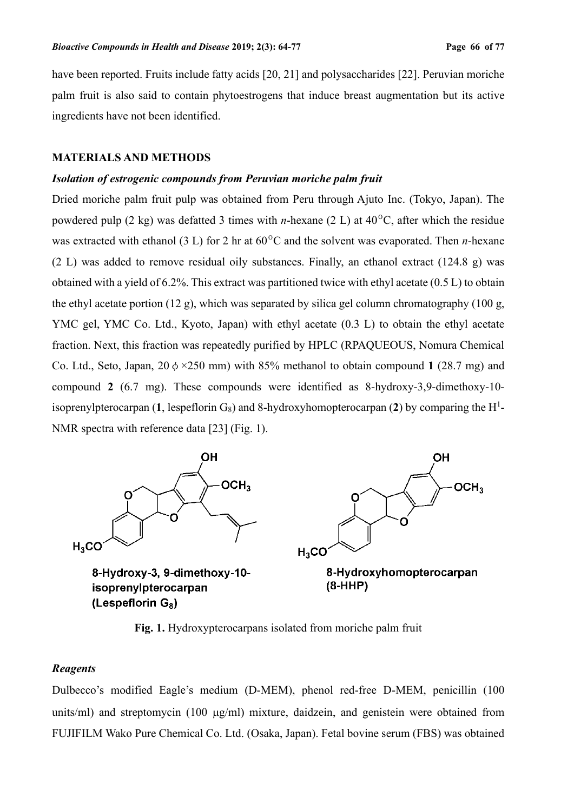have been reported. Fruits include fatty acids [20, 21] and polysaccharides [22]. Peruvian moriche palm fruit is also said to contain phytoestrogens that induce breast augmentation but its active ingredients have not been identified.

#### **MATERIALS AND METHODS**

#### *Isolation of estrogenic compounds from Peruvian moriche palm fruit*

Dried moriche palm fruit pulp was obtained from Peru through Ajuto Inc. (Tokyo, Japan). The powdered pulp (2 kg) was defatted 3 times with *n*-hexane (2 L) at 40ºC, after which the residue was extracted with ethanol (3 L) for 2 hr at 60ºC and the solvent was evaporated. Then *n*-hexane (2 L) was added to remove residual oily substances. Finally, an ethanol extract (124.8 g) was obtained with a yield of 6.2%. This extract was partitioned twice with ethyl acetate (0.5 L) to obtain the ethyl acetate portion (12 g), which was separated by silica gel column chromatography (100 g, YMC gel, YMC Co. Ltd., Kyoto, Japan) with ethyl acetate (0.3 L) to obtain the ethyl acetate fraction. Next, this fraction was repeatedly purified by HPLC (RPAQUEOUS, Nomura Chemical Co. Ltd., Seto, Japan,  $20 \phi \times 250$  mm) with 85% methanol to obtain compound 1 (28.7 mg) and compound **2** (6.7 mg). These compounds were identified as 8-hydroxy-3,9-dimethoxy-10 isoprenylpterocarpan  $(1,$  lespeflorin  $G_8$ ) and 8-hydroxyhomopterocarpan  $(2)$  by comparing the H<sup>1</sup>-NMR spectra with reference data [23] (Fig. 1).



**Fig. 1.** Hydroxypterocarpans isolated from moriche palm fruit

#### *Reagents*

Dulbecco's modified Eagle's medium (D-MEM), phenol red-free D-MEM, penicillin (100 units/ml) and streptomycin  $(100 \mu g/ml)$  mixture, daidzein, and genistein were obtained from FUJIFILM Wako Pure Chemical Co. Ltd. (Osaka, Japan). Fetal bovine serum (FBS) was obtained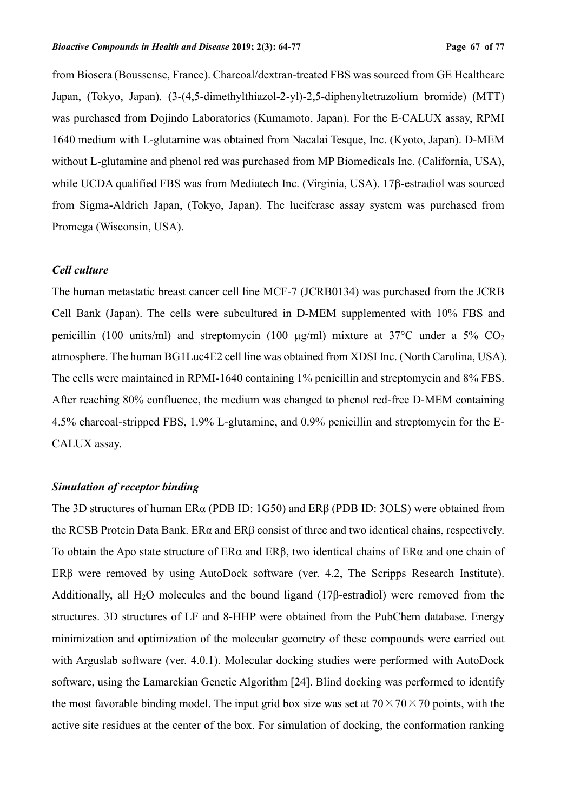from Biosera (Boussense, France). Charcoal/dextran-treated FBS was sourced from GE Healthcare Japan, (Tokyo, Japan). (3-(4,5-dimethylthiazol-2-yl)-2,5-diphenyltetrazolium bromide) (MTT) was purchased from Dojindo Laboratories (Kumamoto, Japan). For the E-CALUX assay, RPMI 1640 medium with L-glutamine was obtained from Nacalai Tesque, Inc. (Kyoto, Japan). D-MEM without L-glutamine and phenol red was purchased from MP Biomedicals Inc. (California, USA), while UCDA qualified FBS was from Mediatech Inc. (Virginia, USA). 17 $\beta$ -estradiol was sourced from Sigma-Aldrich Japan, (Tokyo, Japan). The luciferase assay system was purchased from Promega (Wisconsin, USA).

#### *Cell culture*

The human metastatic breast cancer cell line MCF-7 (JCRB0134) was purchased from the JCRB Cell Bank (Japan). The cells were subcultured in D-MEM supplemented with 10% FBS and penicillin (100 units/ml) and streptomycin (100  $\mu$ g/ml) mixture at 37°C under a 5% CO<sub>2</sub> atmosphere. The human BG1Luc4E2 cell line was obtained from XDSI Inc. (North Carolina, USA). The cells were maintained in RPMI-1640 containing 1% penicillin and streptomycin and 8% FBS. After reaching 80% confluence, the medium was changed to phenol red-free D-MEM containing 4.5% charcoal-stripped FBS, 1.9% L-glutamine, and 0.9% penicillin and streptomycin for the E-CALUX assay.

#### *Simulation of receptor binding*

The 3D structures of human ERα (PDB ID: 1G50) and ERβ (PDB ID: 3OLS) were obtained from the RCSB Protein Data Bank. ERα and ERβ consist of three and two identical chains, respectively. To obtain the Apo state structure of ERα and ERβ, two identical chains of ERα and one chain of ERβ were removed by using AutoDock software (ver. 4.2, The Scripps Research Institute). Additionally, all H<sub>2</sub>O molecules and the bound ligand (17 $\beta$ -estradiol) were removed from the structures. 3D structures of LF and 8-HHP were obtained from the PubChem database. Energy minimization and optimization of the molecular geometry of these compounds were carried out with Arguslab software (ver. 4.0.1). Molecular docking studies were performed with AutoDock software, using the Lamarckian Genetic Algorithm [24]. Blind docking was performed to identify the most favorable binding model. The input grid box size was set at  $70 \times 70 \times 70$  points, with the active site residues at the center of the box. For simulation of docking, the conformation ranking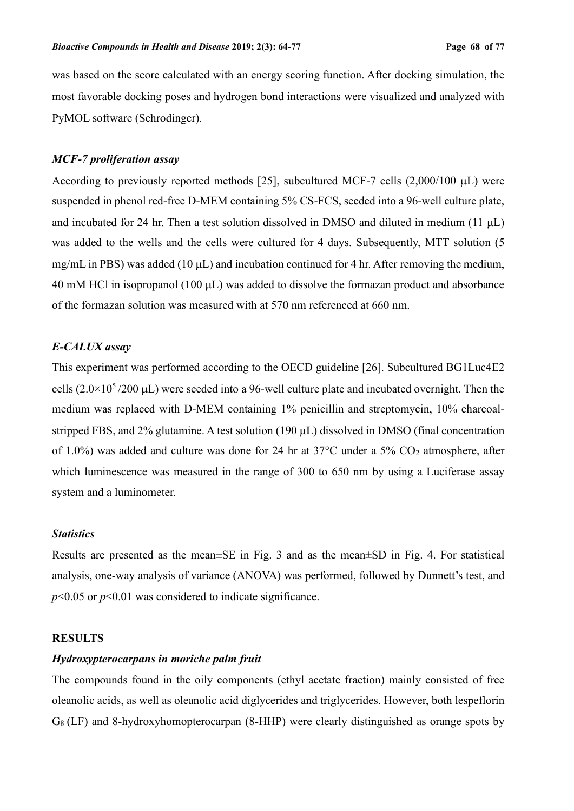was based on the score calculated with an energy scoring function. After docking simulation, the most favorable docking poses and hydrogen bond interactions were visualized and analyzed with PyMOL software (Schrodinger).

#### *MCF-7 proliferation assay*

According to previously reported methods [25], subcultured MCF-7 cells  $(2,000/100 \mu L)$  were suspended in phenol red-free D-MEM containing 5% CS-FCS, seeded into a 96-well culture plate, and incubated for 24 hr. Then a test solution dissolved in DMSO and diluted in medium (11  $\mu$ L) was added to the wells and the cells were cultured for 4 days. Subsequently, MTT solution (5 mg/mL in PBS) was added (10  $\mu$ L) and incubation continued for 4 hr. After removing the medium,  $40 \text{ mM } HCl$  in isopropanol (100  $\mu$ L) was added to dissolve the formazan product and absorbance of the formazan solution was measured with at 570 nm referenced at 660 nm.

#### *E-CALUX assay*

This experiment was performed according to the OECD guideline [26]. Subcultured BG1Luc4E2 cells  $(2.0\times10^5/200 \,\mu L)$  were seeded into a 96-well culture plate and incubated overnight. Then the medium was replaced with D-MEM containing 1% penicillin and streptomycin, 10% charcoalstripped FBS, and 2% glutamine. A test solution (190 µL) dissolved in DMSO (final concentration of 1.0%) was added and culture was done for 24 hr at 37°C under a 5% CO<sup>2</sup> atmosphere, after which luminescence was measured in the range of 300 to 650 nm by using a Luciferase assay system and a luminometer.

#### *Statistics*

Results are presented as the mean±SE in Fig. 3 and as the mean±SD in Fig. 4. For statistical analysis, one-way analysis of variance (ANOVA) was performed, followed by Dunnett's test, and *p*<0.05 or *p*<0.01 was considered to indicate significance.

#### **RESULTS**

# *Hydroxypterocarpans in moriche palm fruit*

The compounds found in the oily components (ethyl acetate fraction) mainly consisted of free oleanolic acids, as well as oleanolic acid diglycerides and triglycerides. However, both lespeflorin  $G_8$  (LF) and 8-hydroxyhomopterocarpan (8-HHP) were clearly distinguished as orange spots by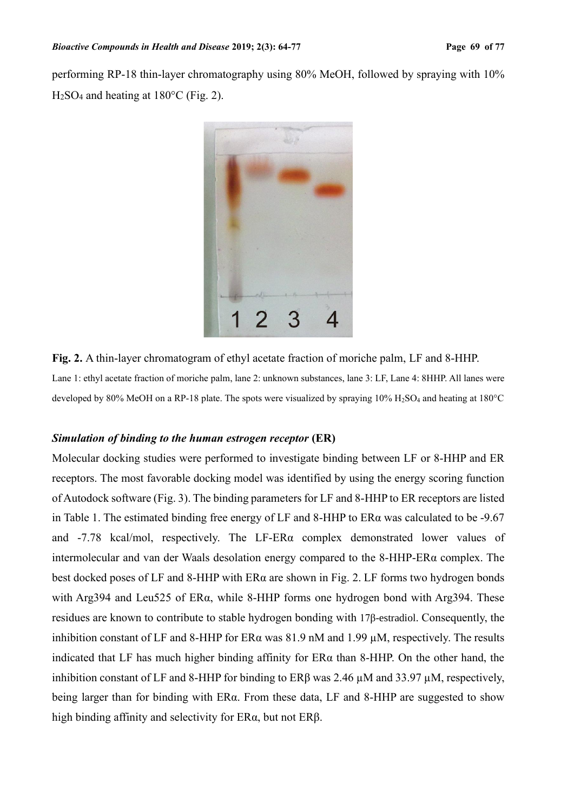performing RP-18 thin-layer chromatography using 80% MeOH, followed by spraying with 10%  $H<sub>2</sub>SO<sub>4</sub>$  and heating at 180 $^{\circ}$ C (Fig. 2).



**Fig. 2.** A thin-layer chromatogram of ethyl acetate fraction of moriche palm, LF and 8-HHP. Lane 1: ethyl acetate fraction of moriche palm, lane 2: unknown substances, lane 3: LF, Lane 4: 8HHP. All lanes were developed by 80% MeOH on a RP-18 plate. The spots were visualized by spraying 10% H2SO<sup>4</sup> and heating at 180°C

#### *Simulation of binding to the human estrogen receptor* **(ER)**

Molecular docking studies were performed to investigate binding between LF or 8-HHP and ER receptors. The most favorable docking model was identified by using the energy scoring function of Autodock software (Fig. 3). The binding parameters for LF and 8-HHP to ER receptors are listed in Table 1. The estimated binding free energy of LF and 8-HHP to ERα was calculated to be -9.67 and -7.78 kcal/mol, respectively. The LF-ERα complex demonstrated lower values of intermolecular and van der Waals desolation energy compared to the 8-HHP-ERα complex. The best docked poses of LF and 8-HHP with ERα are shown in Fig. 2. LF forms two hydrogen bonds with Arg394 and Leu525 of ERα, while 8-HHP forms one hydrogen bond with Arg394. These residues are known to contribute to stable hydrogen bonding with 17β-estradiol. Consequently, the inhibition constant of LF and 8-HHP for ER $\alpha$  was 81.9 nM and 1.99  $\mu$ M, respectively. The results indicated that LF has much higher binding affinity for ERα than 8-HHP. On the other hand, the inhibition constant of LF and 8-HHP for binding to  $ER\beta$  was 2.46  $\mu$ M and 33.97  $\mu$ M, respectively, being larger than for binding with ERα. From these data, LF and 8-HHP are suggested to show high binding affinity and selectivity for ERα, but not ERβ.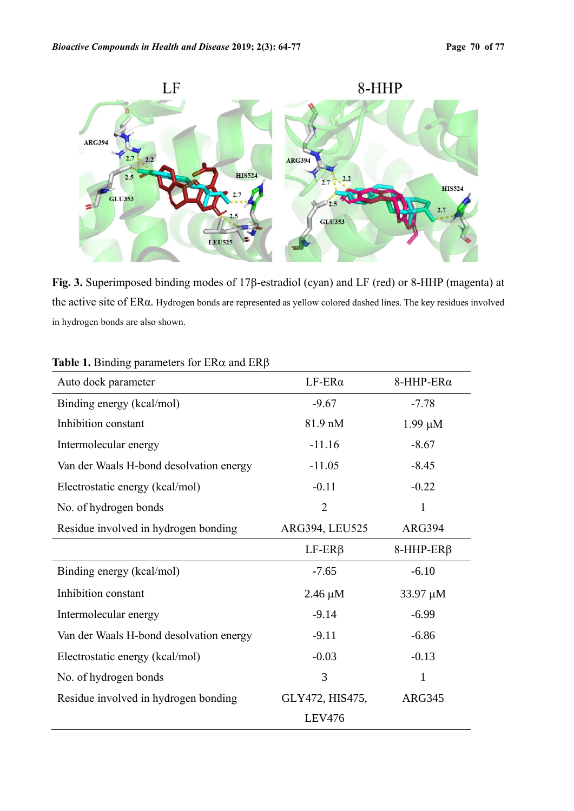

Fig. 3. Superimposed binding modes of 17β-estradiol (cyan) and LF (red) or 8-HHP (magenta) at the active site of ERα. Hydrogen bonds are represented as yellow colored dashed lines. The key residues involved in hydrogen bonds are also shown.

| ---- ர                                  |                   |                      |
|-----------------------------------------|-------------------|----------------------|
| Auto dock parameter                     | $LF$ -ER $\alpha$ | $8$ -HHP-ER $\alpha$ |
| Binding energy (kcal/mol)               | $-9.67$           | $-7.78$              |
| Inhibition constant                     | 81.9 nM           | $1.99 \mu M$         |
| Intermolecular energy                   | $-11.16$          | $-8.67$              |
| Van der Waals H-bond desolvation energy | $-11.05$          | $-8.45$              |
| Electrostatic energy (kcal/mol)         | $-0.11$           | $-0.22$              |
| No. of hydrogen bonds                   | $\overline{2}$    | 1                    |
| Residue involved in hydrogen bonding    | ARG394, LEU525    | <b>ARG394</b>        |
|                                         | $LF$ -ER $\beta$  | $8$ -HHP-ER $\beta$  |
| Binding energy (kcal/mol)               | $-7.65$           | $-6.10$              |
| Inhibition constant                     | $2.46 \mu M$      | 33.97 µM             |
| Intermolecular energy                   | $-9.14$           | $-6.99$              |
| Van der Waals H-bond desolvation energy | $-9.11$           | $-6.86$              |
| Electrostatic energy (kcal/mol)         | $-0.03$           | $-0.13$              |
| No. of hydrogen bonds                   | 3                 | 1                    |
| Residue involved in hydrogen bonding    | GLY472, HIS475,   | <b>ARG345</b>        |
|                                         | <b>LEV476</b>     |                      |

# **Table 1.** Binding parameters for  $ER\alpha$  and  $ER\beta$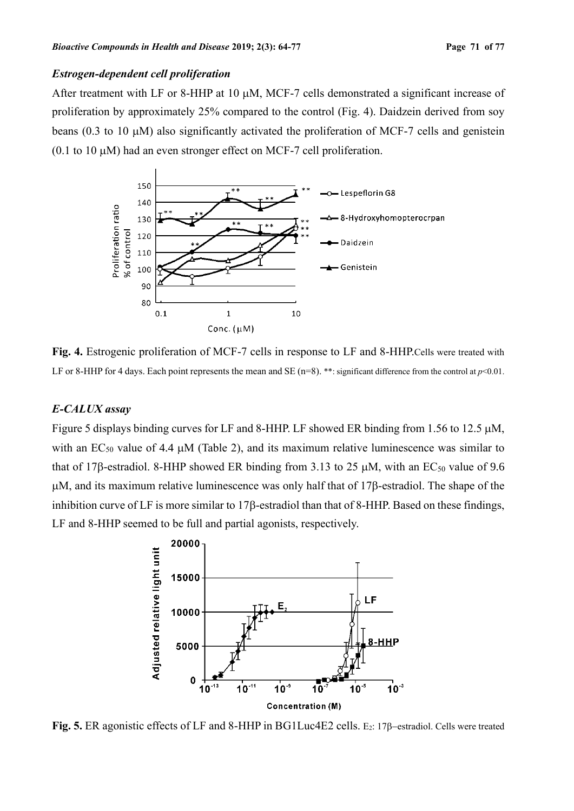#### *Estrogen-dependent cell proliferation*

After treatment with LF or 8-HHP at 10 µM, MCF-7 cells demonstrated a significant increase of proliferation by approximately 25% compared to the control (Fig. 4). Daidzein derived from soy beans (0.3 to 10  $\mu$ M) also significantly activated the proliferation of MCF-7 cells and genistein (0.1 to 10  $\mu$ M) had an even stronger effect on MCF-7 cell proliferation.



**Fig. 4.** Estrogenic proliferation of MCF-7 cells in response to LF and 8-HHP.Cells were treated with LF or 8-HHP for 4 days. Each point represents the mean and SE ( $n=8$ ). \*\*: significant difference from the control at  $p<0.01$ .

### *E-CALUX assay*

Figure 5 displays binding curves for LF and 8-HHP. LF showed ER binding from 1.56 to 12.5  $\mu$ M, with an  $EC_{50}$  value of 4.4  $\mu$ M (Table 2), and its maximum relative luminescence was similar to that of 17 $\beta$ -estradiol. 8-HHP showed ER binding from 3.13 to 25  $\mu$ M, with an EC<sub>50</sub> value of 9.6  $\mu$ M, and its maximum relative luminescence was only half that of 17 $\beta$ -estradiol. The shape of the inhibition curve of LF is more similar to  $17\beta$ -estradiol than that of 8-HHP. Based on these findings, LF and 8-HHP seemed to be full and partial agonists, respectively.



**Fig. 5.** ER agonistic effects of LF and 8-HHP in BG1Luc4E2 cells. E<sub>2</sub>: 17β–estradiol. Cells were treated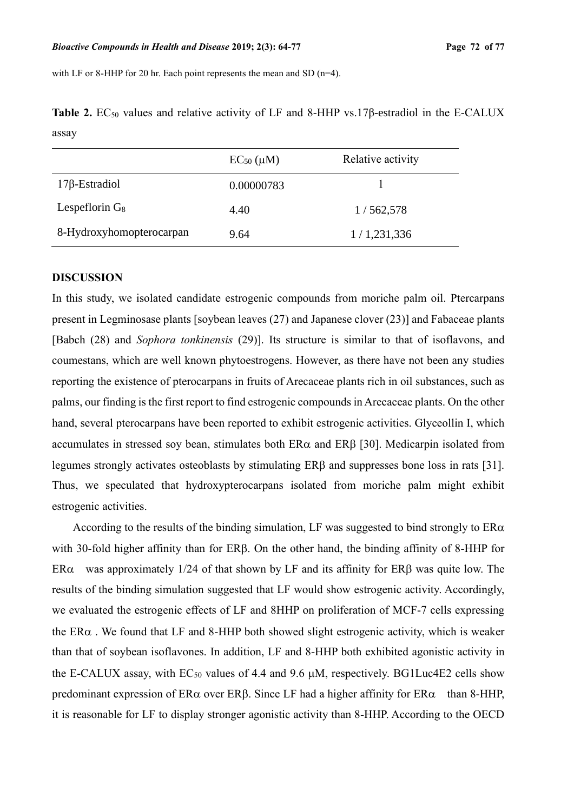with LF or 8-HHP for 20 hr. Each point represents the mean and SD  $(n=4)$ .

|                          | $EC_{50}$ ( $\mu$ M) | Relative activity |
|--------------------------|----------------------|-------------------|
| $17\beta$ -Estradiol     | 0.00000783           |                   |
| Lespeflorin $G_8$        | 4.40                 | 1/562,578         |
| 8-Hydroxyhomopterocarpan | 9.64                 | 1/1,231,336       |

Table 2. EC<sub>50</sub> values and relative activity of LF and 8-HHP vs.17β-estradiol in the E-CALUX assay

#### **DISCUSSION**

In this study, we isolated candidate estrogenic compounds from moriche palm oil. Ptercarpans present in Legminosase plants [soybean leaves (27) and Japanese clover (23)] and Fabaceae plants [Babch (28) and *Sophora tonkinensis* (29)]. Its structure is similar to that of isoflavons, and coumestans, which are well known phytoestrogens. However, as there have not been any studies reporting the existence of pterocarpans in fruits of Arecaceae plants rich in oil substances, such as palms, our finding is the first report to find estrogenic compounds in Arecaceae plants. On the other hand, several pterocarpans have been reported to exhibit estrogenic activities. Glyceollin I, which accumulates in stressed soy bean, stimulates both  $ER\alpha$  and  $ER\beta$  [30]. Medicarpin isolated from legumes strongly activates osteoblasts by stimulating ERB and suppresses bone loss in rats [31]. Thus, we speculated that hydroxypterocarpans isolated from moriche palm might exhibit estrogenic activities.

According to the results of the binding simulation, LF was suggested to bind strongly to  $ER\alpha$ with 30-fold higher affinity than for  $ER\beta$ . On the other hand, the binding affinity of 8-HHP for ER $\alpha$  was approximately 1/24 of that shown by LF and its affinity for ER $\beta$  was quite low. The results of the binding simulation suggested that LF would show estrogenic activity. Accordingly, we evaluated the estrogenic effects of LF and 8HHP on proliferation of MCF-7 cells expressing the  $ER\alpha$ . We found that LF and 8-HHP both showed slight estrogenic activity, which is weaker than that of soybean isoflavones. In addition, LF and 8-HHP both exhibited agonistic activity in the E-CALUX assay, with  $EC_{50}$  values of 4.4 and 9.6  $\mu$ M, respectively. BG1Luc4E2 cells show predominant expression of  $ER\alpha$  over ERB. Since LF had a higher affinity for  $ER\alpha$  than 8-HHP, it is reasonable for LF to display stronger agonistic activity than 8-HHP. According to the OECD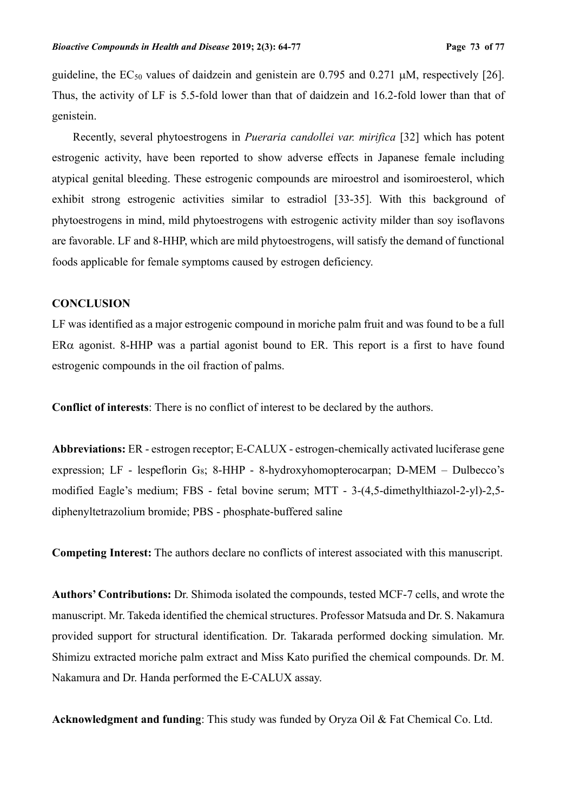guideline, the  $EC_{50}$  values of daidzein and genistein are 0.795 and 0.271  $\mu$ M, respectively [26]. Thus, the activity of LF is 5.5-fold lower than that of daidzein and 16.2-fold lower than that of genistein.

Recently, several phytoestrogens in *Pueraria candollei var. mirifica* [32] which has potent estrogenic activity, have been reported to show adverse effects in Japanese female including atypical genital bleeding. These estrogenic compounds are miroestrol and isomiroesterol, which exhibit strong estrogenic activities similar to estradiol [33-35]. With this background of phytoestrogens in mind, mild phytoestrogens with estrogenic activity milder than soy isoflavons are favorable. LF and 8-HHP, which are mild phytoestrogens, will satisfy the demand of functional foods applicable for female symptoms caused by estrogen deficiency.

# **CONCLUSION**

LF was identified as a major estrogenic compound in moriche palm fruit and was found to be a full ER $\alpha$  agonist. 8-HHP was a partial agonist bound to ER. This report is a first to have found estrogenic compounds in the oil fraction of palms.

**Conflict of interests**: There is no conflict of interest to be declared by the authors.

**Abbreviations:** ER - estrogen receptor; E-CALUX - estrogen-chemically activated luciferase gene expression; LF - lespeflorin G<sub>8</sub>; 8-HHP - 8-hydroxyhomopterocarpan; D-MEM – Dulbecco's modified Eagle's medium; FBS - fetal bovine serum; MTT - 3-(4,5-dimethylthiazol-2-yl)-2,5 diphenyltetrazolium bromide; PBS - phosphate-buffered saline

**Competing Interest:** The authors declare no conflicts of interest associated with this manuscript.

**Authors' Contributions:** Dr. Shimoda isolated the compounds, tested MCF-7 cells, and wrote the manuscript. Mr. Takeda identified the chemical structures. Professor Matsuda and Dr. S. Nakamura provided support for structural identification. Dr. Takarada performed docking simulation. Mr. Shimizu extracted moriche palm extract and Miss Kato purified the chemical compounds. Dr. M. Nakamura and Dr. Handa performed the E-CALUX assay.

**Acknowledgment and funding**: This study was funded by Oryza Oil & Fat Chemical Co. Ltd.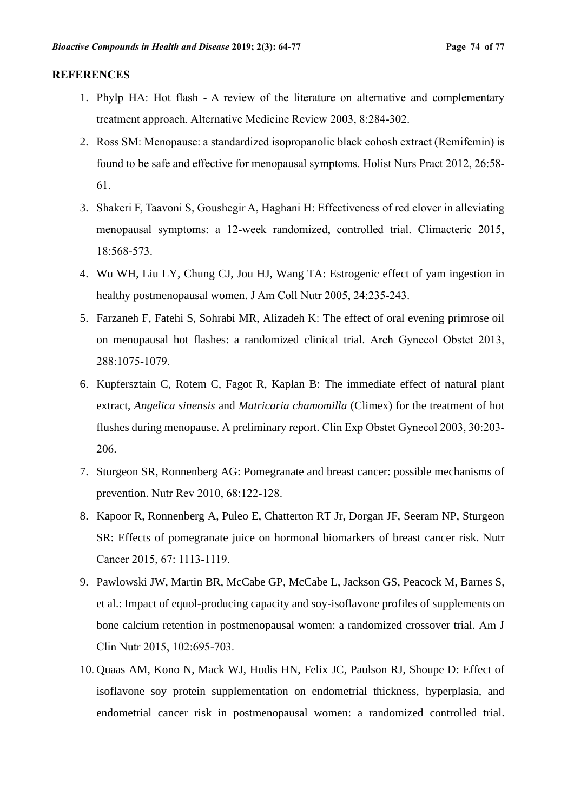#### **REFERENCES**

- 1. Phylp HA: Hot flash A review of the literature on alternative and complementary treatment approach. Alternative Medicine Review 2003, 8:284-302.
- 2. Ross SM: Menopause: a standardized isopropanolic black cohosh extract (Remifemin) is found to be safe and effective for menopausal symptoms. Holist Nurs Pract 2012, 26:58- 61.
- 3. Shakeri F, Taavoni S, Goushegir A, Haghani H: Effectiveness of red clover in alleviating menopausal symptoms: a 12-week randomized, controlled trial. Climacteric 2015, 18:568-573.
- 4. Wu WH, Liu LY, Chung CJ, Jou HJ, Wang TA: Estrogenic effect of yam ingestion in healthy postmenopausal women. J Am Coll Nutr 2005, 24:235-243.
- 5. Farzaneh F, Fatehi S, Sohrabi MR, Alizadeh K: The effect of oral evening primrose oil on menopausal hot flashes: a randomized clinical trial. Arch Gynecol Obstet 2013, 288:1075-1079.
- 6. Kupfersztain C, Rotem C, Fagot R, Kaplan B: The immediate effect of natural plant extract, *Angelica sinensis* and *Matricaria chamomilla* (Climex) for the treatment of hot flushes during menopause. A preliminary report. Clin Exp Obstet Gynecol 2003, 30:203- 206.
- 7. Sturgeon SR, Ronnenberg AG: Pomegranate and breast cancer: possible mechanisms of prevention. Nutr Rev 2010, 68:122-128.
- 8. Kapoor R, Ronnenberg A, Puleo E, Chatterton RT Jr, Dorgan JF, Seeram NP, Sturgeon SR: Effects of pomegranate juice on hormonal biomarkers of breast cancer risk. Nutr Cancer 2015, 67: 1113-1119.
- 9. Pawlowski JW, Martin BR, McCabe GP, McCabe L, Jackson GS, Peacock M, Barnes S, et al.: Impact of equol-producing capacity and soy-isoflavone profiles of supplements on bone calcium retention in postmenopausal women: a randomized crossover trial. Am J Clin Nutr 2015, 102:695-703.
- 10. Quaas AM, Kono N, Mack WJ, Hodis HN, Felix JC, Paulson RJ, Shoupe D: Effect of isoflavone soy protein supplementation on endometrial thickness, hyperplasia, and endometrial cancer risk in postmenopausal women: a randomized controlled trial.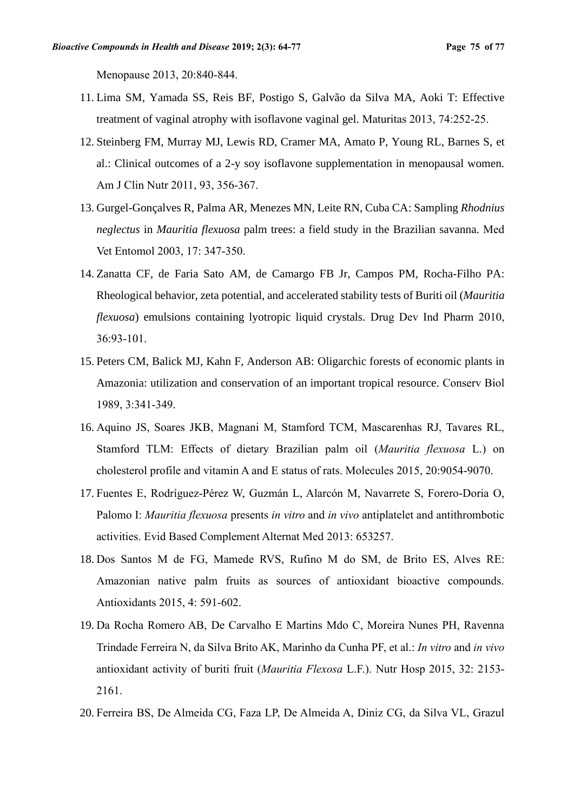Menopause 2013, 20:840-844.

- 11. Lima SM, Yamada SS, Reis BF, Postigo S, Galvão da Silva MA, Aoki T: Effective treatment of vaginal atrophy with isoflavone vaginal gel. Maturitas 2013, 74:252-25.
- 12. Steinberg FM, Murray MJ, Lewis RD, Cramer MA, Amato P, Young RL, Barnes S, et al.: Clinical outcomes of a 2-y soy isoflavone supplementation in menopausal women. Am J Clin Nutr 2011, 93, 356-367.
- 13. Gurgel-Gonçalves R, Palma AR, Menezes MN, Leite RN, Cuba CA: Sampling *Rhodnius neglectus* in *Mauritia flexuosa* palm trees: a field study in the Brazilian savanna. Med Vet Entomol 2003, 17: 347-350.
- 14. Zanatta CF, de Faria Sato AM, de Camargo FB Jr, Campos PM, Rocha-Filho PA: Rheological behavior, zeta potential, and accelerated stability tests of Buriti oil (*Mauritia flexuosa*) emulsions containing lyotropic liquid crystals. Drug Dev Ind Pharm 2010, 36:93-101.
- 15. Peters CM, Balick MJ, Kahn F, Anderson AB: Oligarchic forests of economic plants in Amazonia: utilization and conservation of an important tropical resource. Conserv Biol 1989, 3:341-349.
- 16. Aquino JS, Soares JKB, Magnani M, Stamford TCM, Mascarenhas RJ, Tavares RL, Stamford TLM: Effects of dietary Brazilian palm oil (*Mauritia flexuosa* L.) on cholesterol profile and vitamin A and E status of rats. Molecules 2015, 20:9054-9070.
- 17. Fuentes E, Rodríguez-Pérez W, Guzmán L, Alarcón M, Navarrete S, Forero-Doria O, Palomo I: *Mauritia flexuosa* presents *in vitro* and *in vivo* antiplatelet and antithrombotic activities. Evid Based Complement Alternat Med 2013: 653257.
- 18. Dos Santos M de FG, Mamede RVS, Rufino M do SM, de Brito ES, Alves RE: Amazonian native palm fruits as sources of antioxidant bioactive compounds. Antioxidants 2015, 4: 591-602.
- 19. Da Rocha Romero AB, De Carvalho E Martins Mdo C, Moreira Nunes PH, Ravenna Trindade Ferreira N, da Silva Brito AK, Marinho da Cunha PF, et al.: *In vitro* and *in vivo* antioxidant activity of buriti fruit (*Mauritia Flexosa* L.F.). Nutr Hosp 2015, 32: 2153- 2161.
- 20. [Ferreira](http://www.mdpi.com/search?authors=Bianca%20Silva%20Ferreira&orcid=) BS, De Almeida CG, Faza LP, De Almeida A, Diniz CG, da Silva VL, Grazul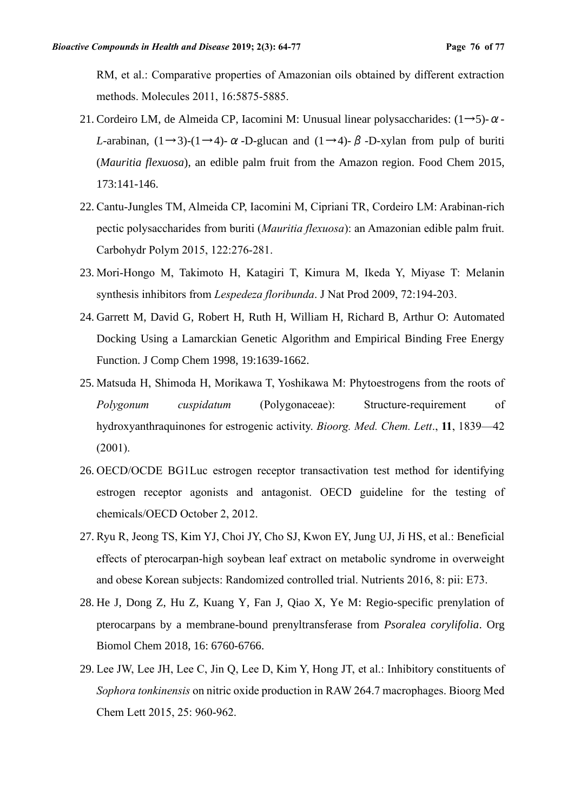RM, et al.: Comparative properties of Amazonian oils obtained by different extraction methods. Molecules 2011, 16:5875-5885.

- 21. Cordeiro LM, de Almeida CP, Iacomini M: Unusual linear polysaccharides:  $(1\rightarrow 5)$ - $\alpha$ -*L*-arabinan,  $(1\rightarrow 3)-(1\rightarrow 4)$ - $\alpha$ -D-glucan and  $(1\rightarrow 4)$ - $\beta$ -D-xylan from pulp of buriti (*Mauritia flexuosa*), an edible palm fruit from the Amazon region. Food Chem 2015, 173:141-146.
- 22. Cantu-Jungles TM, Almeida CP, Iacomini M, Cipriani TR, Cordeiro LM: Arabinan-rich pectic polysaccharides from buriti (*Mauritia flexuosa*): an Amazonian edible palm fruit. Carbohydr Polym 2015, 122:276-281.
- 23. Mori-Hongo M, Takimoto H, Katagiri T, Kimura M, Ikeda Y, Miyase T: Melanin synthesis inhibitors from *Lespedeza floribunda*. J Nat Prod 2009, 72:194-203.
- 24. Garrett M, David G, Robert H, Ruth H, William H, Richard B, Arthur O: Automated Docking Using a Lamarckian Genetic Algorithm and Empirical Binding Free Energy Function. J Comp Chem 1998, 19:1639-1662.
- 25. Matsuda H, Shimoda H, Morikawa T, Yoshikawa M: Phytoestrogens from the roots of *Polygonum cuspidatum* (Polygonaceae): Structure-requirement of hydroxyanthraquinones for estrogenic activity. *Bioorg. Med. Chem. Lett*., **11**, 1839—42 (2001).
- 26. OECD/OCDE BG1Luc estrogen receptor transactivation test method for identifying estrogen receptor agonists and antagonist. OECD guideline for the testing of chemicals/OECD October 2, 2012.
- 27. Ryu R, Jeong TS, Kim YJ, Choi JY, Cho SJ, Kwon EY, Jung UJ, Ji HS, et al.: Beneficial effects of pterocarpan-high soybean leaf extract on metabolic syndrome in overweight and obese Korean subjects: Randomized controlled trial. Nutrients 2016, 8: pii: E73.
- 28. He J, Dong Z, Hu Z, Kuang Y, Fan J, Qiao X, Ye M: Regio-specific prenylation of pterocarpans by a membrane-bound prenyltransferase from *Psoralea corylifolia*. Org Biomol Chem 2018, 16: 6760-6766.
- 29. Lee JW, Lee JH, Lee C, Jin Q, Lee D, Kim Y, Hong JT, et al.: Inhibitory constituents of *Sophora tonkinensis* on nitric oxide production in RAW 264.7 macrophages. Bioorg Med Chem Lett 2015, 25: 960-962.